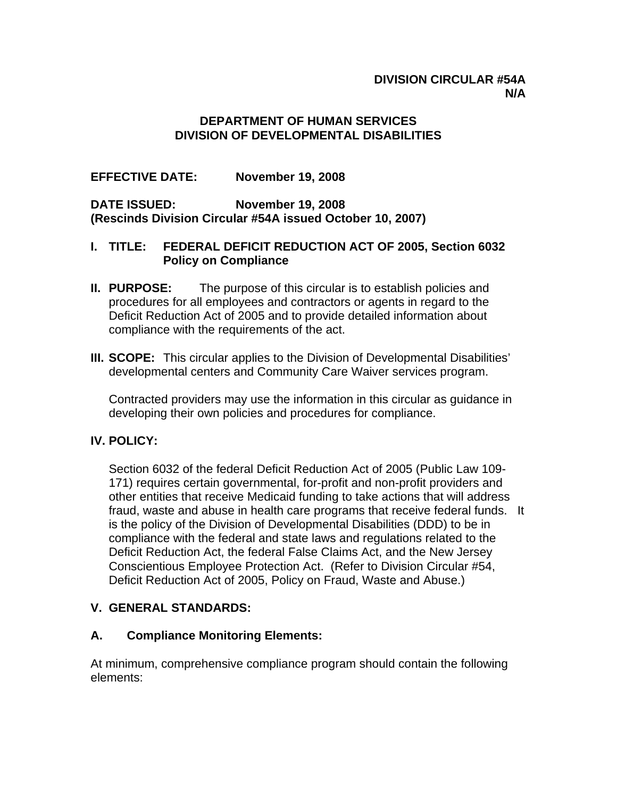### **DIVISION CIRCULAR #54A N/A**

### **DEPARTMENT OF HUMAN SERVICES DIVISION OF DEVELOPMENTAL DISABILITIES**

**EFFECTIVE DATE: November 19, 2008** 

**DATE ISSUED: November 19, 2008 (Rescinds Division Circular #54A issued October 10, 2007)** 

#### **I. TITLE: FEDERAL DEFICIT REDUCTION ACT OF 2005, Section 6032 Policy on Compliance**

- **II. PURPOSE:** The purpose of this circular is to establish policies and procedures for all employees and contractors or agents in regard to the Deficit Reduction Act of 2005 and to provide detailed information about compliance with the requirements of the act.
- **III. SCOPE:** This circular applies to the Division of Developmental Disabilities' developmental centers and Community Care Waiver services program.

Contracted providers may use the information in this circular as guidance in developing their own policies and procedures for compliance.

#### **IV. POLICY:**

Section 6032 of the federal Deficit Reduction Act of 2005 (Public Law 109- 171) requires certain governmental, for-profit and non-profit providers and other entities that receive Medicaid funding to take actions that will address fraud, waste and abuse in health care programs that receive federal funds. It is the policy of the Division of Developmental Disabilities (DDD) to be in compliance with the federal and state laws and regulations related to the Deficit Reduction Act, the federal False Claims Act, and the New Jersey Conscientious Employee Protection Act. (Refer to Division Circular #54, Deficit Reduction Act of 2005, Policy on Fraud, Waste and Abuse.)

# **V. GENERAL STANDARDS:**

# **A. Compliance Monitoring Elements:**

At minimum, comprehensive compliance program should contain the following elements: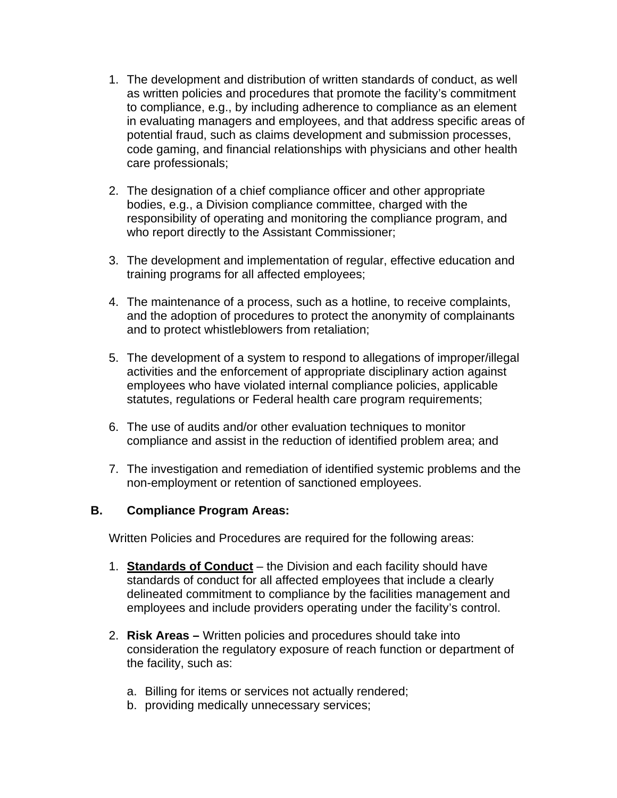- 1. The development and distribution of written standards of conduct, as well as written policies and procedures that promote the facility's commitment to compliance, e.g., by including adherence to compliance as an element in evaluating managers and employees, and that address specific areas of potential fraud, such as claims development and submission processes, code gaming, and financial relationships with physicians and other health care professionals;
- 2. The designation of a chief compliance officer and other appropriate bodies, e.g., a Division compliance committee, charged with the responsibility of operating and monitoring the compliance program, and who report directly to the Assistant Commissioner;
- 3. The development and implementation of regular, effective education and training programs for all affected employees;
- 4. The maintenance of a process, such as a hotline, to receive complaints, and the adoption of procedures to protect the anonymity of complainants and to protect whistleblowers from retaliation;
- 5. The development of a system to respond to allegations of improper/illegal activities and the enforcement of appropriate disciplinary action against employees who have violated internal compliance policies, applicable statutes, regulations or Federal health care program requirements;
- 6. The use of audits and/or other evaluation techniques to monitor compliance and assist in the reduction of identified problem area; and
- 7. The investigation and remediation of identified systemic problems and the non-employment or retention of sanctioned employees.

#### **B. Compliance Program Areas:**

Written Policies and Procedures are required for the following areas:

- 1. **Standards of Conduct** the Division and each facility should have standards of conduct for all affected employees that include a clearly delineated commitment to compliance by the facilities management and employees and include providers operating under the facility's control.
- 2. **Risk Areas** Written policies and procedures should take into consideration the regulatory exposure of reach function or department of the facility, such as:
	- a. Billing for items or services not actually rendered;
	- b. providing medically unnecessary services;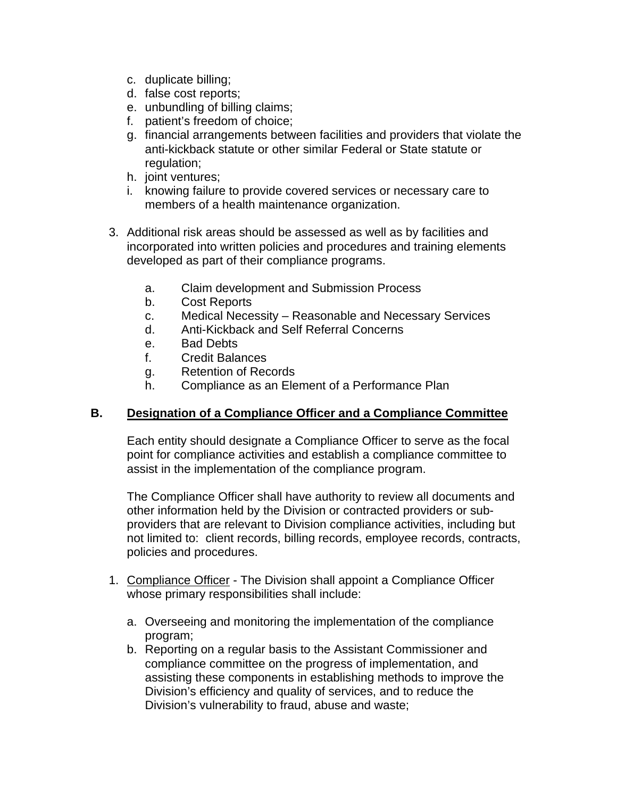- c. duplicate billing;
- d. false cost reports;
- e. unbundling of billing claims;
- f. patient's freedom of choice;
- g. financial arrangements between facilities and providers that violate the anti-kickback statute or other similar Federal or State statute or regulation;
- h. joint ventures;
- i. knowing failure to provide covered services or necessary care to members of a health maintenance organization.
- 3. Additional risk areas should be assessed as well as by facilities and incorporated into written policies and procedures and training elements developed as part of their compliance programs.
	- a. Claim development and Submission Process
	- b. Cost Reports
	- c. Medical Necessity Reasonable and Necessary Services
	- d. Anti-Kickback and Self Referral Concerns
	- e. Bad Debts
	- f. Credit Balances
	- g. Retention of Records
	- h. Compliance as an Element of a Performance Plan

#### **B. Designation of a Compliance Officer and a Compliance Committee**

Each entity should designate a Compliance Officer to serve as the focal point for compliance activities and establish a compliance committee to assist in the implementation of the compliance program.

The Compliance Officer shall have authority to review all documents and other information held by the Division or contracted providers or subproviders that are relevant to Division compliance activities, including but not limited to: client records, billing records, employee records, contracts, policies and procedures.

- 1. Compliance Officer The Division shall appoint a Compliance Officer whose primary responsibilities shall include:
	- a. Overseeing and monitoring the implementation of the compliance program;
	- b. Reporting on a regular basis to the Assistant Commissioner and compliance committee on the progress of implementation, and assisting these components in establishing methods to improve the Division's efficiency and quality of services, and to reduce the Division's vulnerability to fraud, abuse and waste;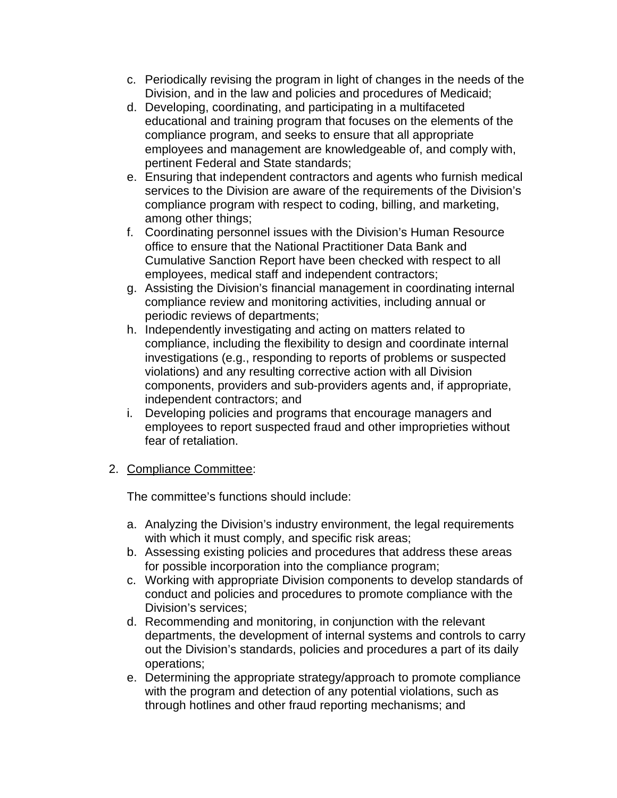- c. Periodically revising the program in light of changes in the needs of the Division, and in the law and policies and procedures of Medicaid;
- d. Developing, coordinating, and participating in a multifaceted educational and training program that focuses on the elements of the compliance program, and seeks to ensure that all appropriate employees and management are knowledgeable of, and comply with, pertinent Federal and State standards;
- e. Ensuring that independent contractors and agents who furnish medical services to the Division are aware of the requirements of the Division's compliance program with respect to coding, billing, and marketing, among other things;
- f. Coordinating personnel issues with the Division's Human Resource office to ensure that the National Practitioner Data Bank and Cumulative Sanction Report have been checked with respect to all employees, medical staff and independent contractors;
- g. Assisting the Division's financial management in coordinating internal compliance review and monitoring activities, including annual or periodic reviews of departments;
- h. Independently investigating and acting on matters related to compliance, including the flexibility to design and coordinate internal investigations (e.g., responding to reports of problems or suspected violations) and any resulting corrective action with all Division components, providers and sub-providers agents and, if appropriate, independent contractors; and
- i. Developing policies and programs that encourage managers and employees to report suspected fraud and other improprieties without fear of retaliation.

# 2. Compliance Committee:

The committee's functions should include:

- a. Analyzing the Division's industry environment, the legal requirements with which it must comply, and specific risk areas;
- b. Assessing existing policies and procedures that address these areas for possible incorporation into the compliance program;
- c. Working with appropriate Division components to develop standards of conduct and policies and procedures to promote compliance with the Division's services;
- d. Recommending and monitoring, in conjunction with the relevant departments, the development of internal systems and controls to carry out the Division's standards, policies and procedures a part of its daily operations;
- e. Determining the appropriate strategy/approach to promote compliance with the program and detection of any potential violations, such as through hotlines and other fraud reporting mechanisms; and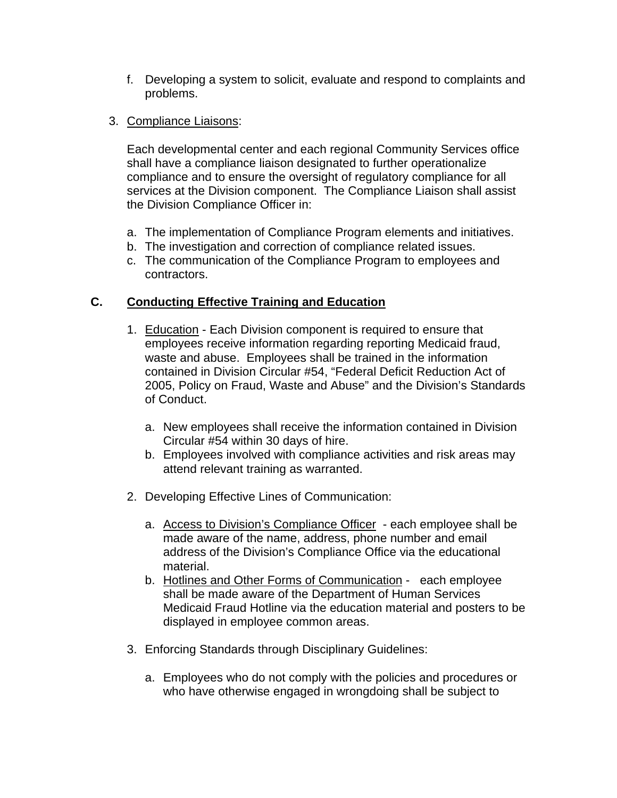- f. Developing a system to solicit, evaluate and respond to complaints and problems.
- 3. Compliance Liaisons:

Each developmental center and each regional Community Services office shall have a compliance liaison designated to further operationalize compliance and to ensure the oversight of regulatory compliance for all services at the Division component. The Compliance Liaison shall assist the Division Compliance Officer in:

- a. The implementation of Compliance Program elements and initiatives.
- b. The investigation and correction of compliance related issues.
- c. The communication of the Compliance Program to employees and contractors.

# **C. Conducting Effective Training and Education**

- 1. Education Each Division component is required to ensure that employees receive information regarding reporting Medicaid fraud, waste and abuse. Employees shall be trained in the information contained in Division Circular #54, "Federal Deficit Reduction Act of 2005, Policy on Fraud, Waste and Abuse" and the Division's Standards of Conduct.
	- a. New employees shall receive the information contained in Division Circular #54 within 30 days of hire.
	- b. Employees involved with compliance activities and risk areas may attend relevant training as warranted.
- 2. Developing Effective Lines of Communication:
	- a. Access to Division's Compliance Officer each employee shall be made aware of the name, address, phone number and email address of the Division's Compliance Office via the educational material.
	- b. Hotlines and Other Forms of Communication each employee shall be made aware of the Department of Human Services Medicaid Fraud Hotline via the education material and posters to be displayed in employee common areas.
- 3. Enforcing Standards through Disciplinary Guidelines:
	- a. Employees who do not comply with the policies and procedures or who have otherwise engaged in wrongdoing shall be subject to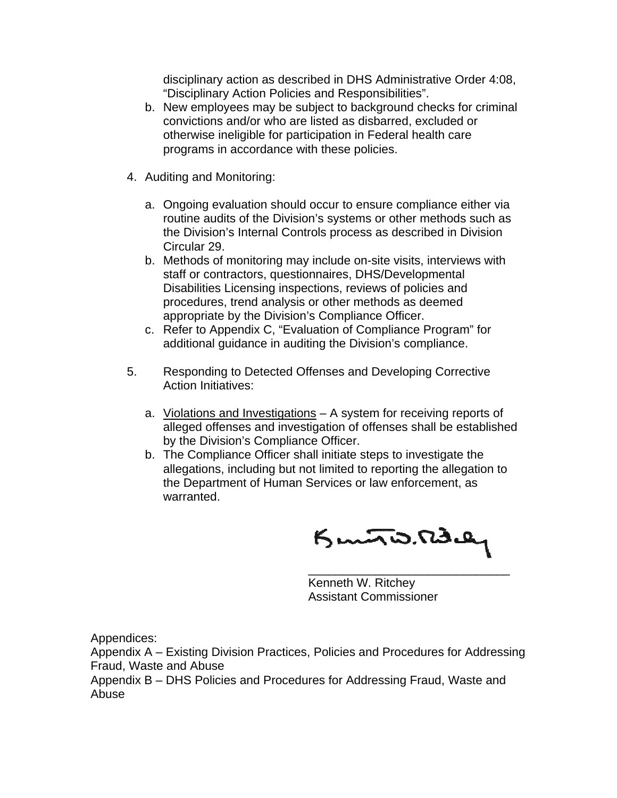disciplinary action as described in DHS Administrative Order 4:08, "Disciplinary Action Policies and Responsibilities".

- b. New employees may be subject to background checks for criminal convictions and/or who are listed as disbarred, excluded or otherwise ineligible for participation in Federal health care programs in accordance with these policies.
- 4. Auditing and Monitoring:
	- a. Ongoing evaluation should occur to ensure compliance either via routine audits of the Division's systems or other methods such as the Division's Internal Controls process as described in Division Circular 29.
	- b. Methods of monitoring may include on-site visits, interviews with staff or contractors, questionnaires, DHS/Developmental Disabilities Licensing inspections, reviews of policies and procedures, trend analysis or other methods as deemed appropriate by the Division's Compliance Officer.
	- c. Refer to Appendix C, "Evaluation of Compliance Program" for additional guidance in auditing the Division's compliance.
- 5. Responding to Detected Offenses and Developing Corrective Action Initiatives:
	- a. Violations and Investigations A system for receiving reports of alleged offenses and investigation of offenses shall be established by the Division's Compliance Officer.
	- b. The Compliance Officer shall initiate steps to investigate the allegations, including but not limited to reporting the allegation to the Department of Human Services or law enforcement, as warranted.

 $K<sub>mn</sub>$ is. Radier  $\frac{1}{\sqrt{2}}$  , and the contract of the contract of the contract of the contract of the contract of the contract of the contract of the contract of the contract of the contract of the contract of the contract of the contra

Kenneth W. Ritchey Assistant Commissioner

Appendices:

Appendix A – Existing Division Practices, Policies and Procedures for Addressing Fraud, Waste and Abuse

Appendix B – DHS Policies and Procedures for Addressing Fraud, Waste and Abuse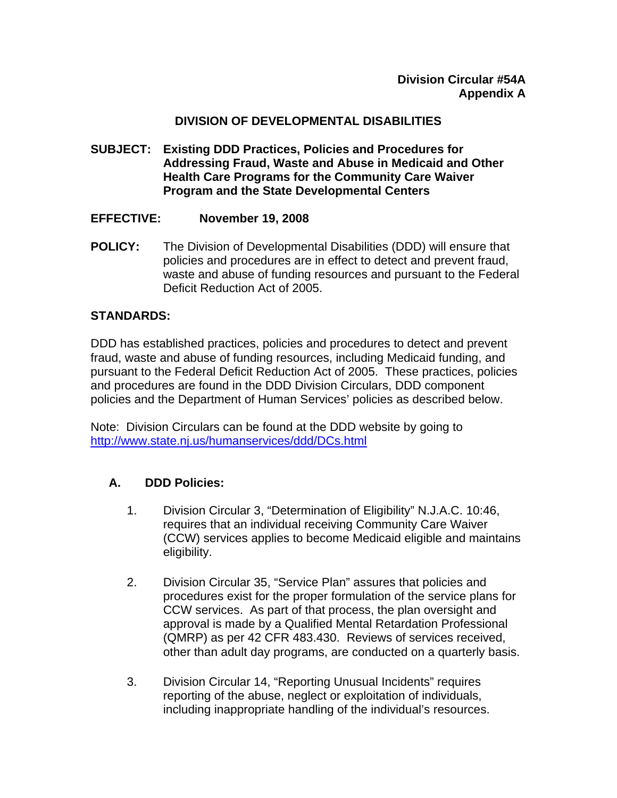### **DIVISION OF DEVELOPMENTAL DISABILITIES**

- **SUBJECT: Existing DDD Practices, Policies and Procedures for Addressing Fraud, Waste and Abuse in Medicaid and Other Health Care Programs for the Community Care Waiver Program and the State Developmental Centers**
- **EFFECTIVE: November 19, 2008**
- **POLICY:** The Division of Developmental Disabilities (DDD) will ensure that policies and procedures are in effect to detect and prevent fraud, waste and abuse of funding resources and pursuant to the Federal Deficit Reduction Act of 2005.

### **STANDARDS:**

DDD has established practices, policies and procedures to detect and prevent fraud, waste and abuse of funding resources, including Medicaid funding, and pursuant to the Federal Deficit Reduction Act of 2005. These practices, policies and procedures are found in the DDD Division Circulars, DDD component policies and the Department of Human Services' policies as described below.

Note: Division Circulars can be found at the DDD website by going to <http://www.state.nj.us/humanservices/ddd/DCs.html>

# **A. DDD Policies:**

- 1. Division Circular 3, "Determination of Eligibility" N.J.A.C. 10:46, requires that an individual receiving Community Care Waiver (CCW) services applies to become Medicaid eligible and maintains eligibility.
- 2. Division Circular 35, "Service Plan" assures that policies and procedures exist for the proper formulation of the service plans for CCW services. As part of that process, the plan oversight and approval is made by a Qualified Mental Retardation Professional (QMRP) as per 42 CFR 483.430. Reviews of services received, other than adult day programs, are conducted on a quarterly basis.
- 3. Division Circular 14, "Reporting Unusual Incidents" requires reporting of the abuse, neglect or exploitation of individuals, including inappropriate handling of the individual's resources.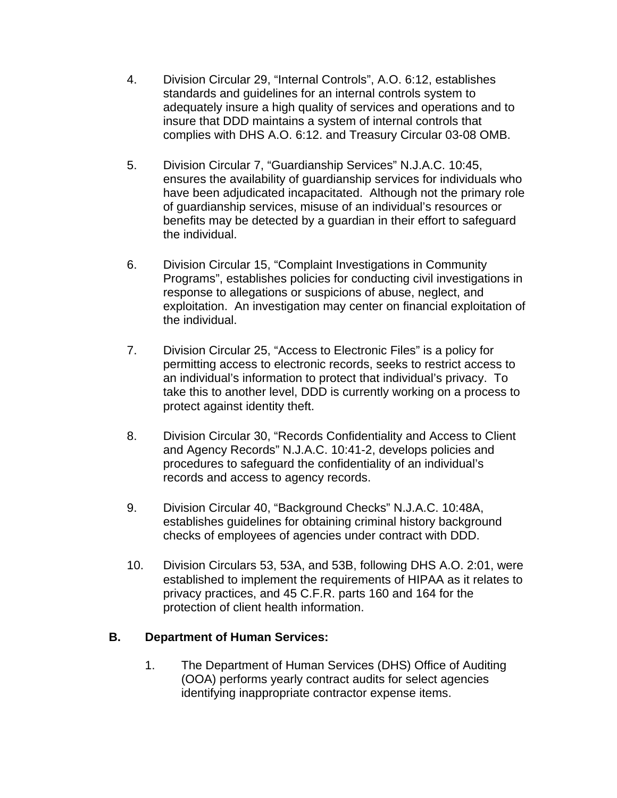- 4. Division Circular 29, "Internal Controls", A.O. 6:12, establishes standards and guidelines for an internal controls system to adequately insure a high quality of services and operations and to insure that DDD maintains a system of internal controls that complies with DHS A.O. 6:12. and Treasury Circular 03-08 OMB.
- 5. Division Circular 7, "Guardianship Services" N.J.A.C. 10:45, ensures the availability of guardianship services for individuals who have been adjudicated incapacitated. Although not the primary role of guardianship services, misuse of an individual's resources or benefits may be detected by a guardian in their effort to safeguard the individual.
- 6. Division Circular 15, "Complaint Investigations in Community Programs", establishes policies for conducting civil investigations in response to allegations or suspicions of abuse, neglect, and exploitation. An investigation may center on financial exploitation of the individual.
- 7. Division Circular 25, "Access to Electronic Files" is a policy for permitting access to electronic records, seeks to restrict access to an individual's information to protect that individual's privacy. To take this to another level, DDD is currently working on a process to protect against identity theft.
- 8. Division Circular 30, "Records Confidentiality and Access to Client and Agency Records" N.J.A.C. 10:41-2, develops policies and procedures to safeguard the confidentiality of an individual's records and access to agency records.
- 9. Division Circular 40, "Background Checks" N.J.A.C. 10:48A, establishes guidelines for obtaining criminal history background checks of employees of agencies under contract with DDD.
- 10. Division Circulars 53, 53A, and 53B, following DHS A.O. 2:01, were established to implement the requirements of HIPAA as it relates to privacy practices, and 45 C.F.R. parts 160 and 164 for the protection of client health information.

# **B. Department of Human Services:**

1. The Department of Human Services (DHS) Office of Auditing (OOA) performs yearly contract audits for select agencies identifying inappropriate contractor expense items.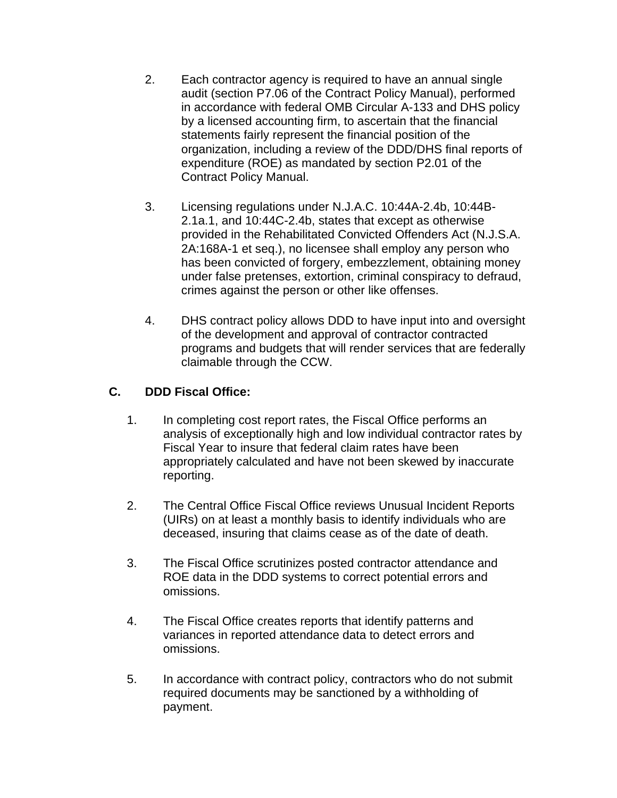- 2. Each contractor agency is required to have an annual single audit (section P7.06 of the Contract Policy Manual), performed in accordance with federal OMB Circular A-133 and DHS policy by a licensed accounting firm, to ascertain that the financial statements fairly represent the financial position of the organization, including a review of the DDD/DHS final reports of expenditure (ROE) as mandated by section P2.01 of the Contract Policy Manual.
- 3. Licensing regulations under N.J.A.C. 10:44A-2.4b, 10:44B-2.1a.1, and 10:44C-2.4b, states that except as otherwise provided in the Rehabilitated Convicted Offenders Act (N.J.S.A. 2A:168A-1 et seq.), no licensee shall employ any person who has been convicted of forgery, embezzlement, obtaining money under false pretenses, extortion, criminal conspiracy to defraud, crimes against the person or other like offenses.
- 4. DHS contract policy allows DDD to have input into and oversight of the development and approval of contractor contracted programs and budgets that will render services that are federally claimable through the CCW.

# **C. DDD Fiscal Office:**

- 1. In completing cost report rates, the Fiscal Office performs an analysis of exceptionally high and low individual contractor rates by Fiscal Year to insure that federal claim rates have been appropriately calculated and have not been skewed by inaccurate reporting.
- 2. The Central Office Fiscal Office reviews Unusual Incident Reports (UIRs) on at least a monthly basis to identify individuals who are deceased, insuring that claims cease as of the date of death.
- 3. The Fiscal Office scrutinizes posted contractor attendance and ROE data in the DDD systems to correct potential errors and omissions.
- 4. The Fiscal Office creates reports that identify patterns and variances in reported attendance data to detect errors and omissions.
- 5. In accordance with contract policy, contractors who do not submit required documents may be sanctioned by a withholding of payment.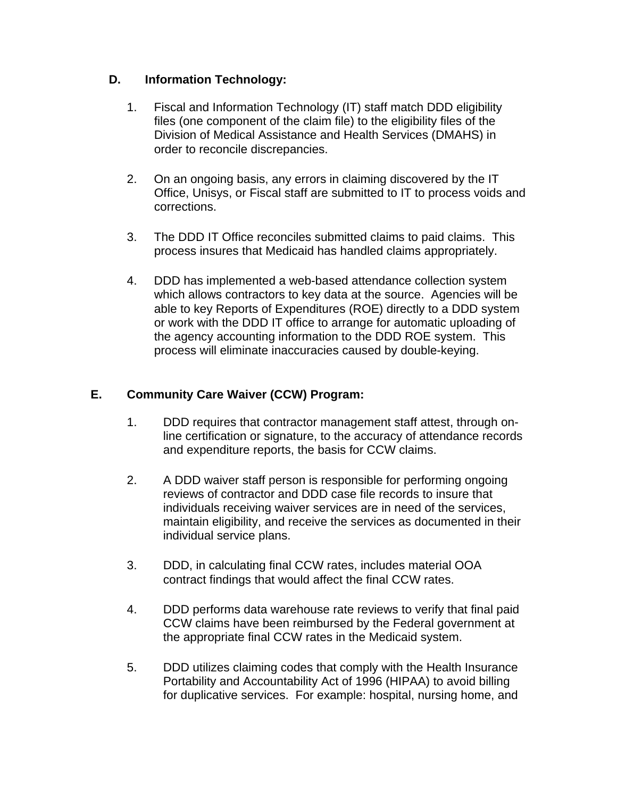# **D. Information Technology:**

- 1. Fiscal and Information Technology (IT) staff match DDD eligibility files (one component of the claim file) to the eligibility files of the Division of Medical Assistance and Health Services (DMAHS) in order to reconcile discrepancies.
- 2. On an ongoing basis, any errors in claiming discovered by the IT Office, Unisys, or Fiscal staff are submitted to IT to process voids and corrections.
- 3. The DDD IT Office reconciles submitted claims to paid claims. This process insures that Medicaid has handled claims appropriately.
- 4. DDD has implemented a web-based attendance collection system which allows contractors to key data at the source. Agencies will be able to key Reports of Expenditures (ROE) directly to a DDD system or work with the DDD IT office to arrange for automatic uploading of the agency accounting information to the DDD ROE system. This process will eliminate inaccuracies caused by double-keying.

# **E. Community Care Waiver (CCW) Program:**

- 1. DDD requires that contractor management staff attest, through online certification or signature, to the accuracy of attendance records and expenditure reports, the basis for CCW claims.
- 2. A DDD waiver staff person is responsible for performing ongoing reviews of contractor and DDD case file records to insure that individuals receiving waiver services are in need of the services, maintain eligibility, and receive the services as documented in their individual service plans.
- 3. DDD, in calculating final CCW rates, includes material OOA contract findings that would affect the final CCW rates.
- 4. DDD performs data warehouse rate reviews to verify that final paid CCW claims have been reimbursed by the Federal government at the appropriate final CCW rates in the Medicaid system.
- 5. DDD utilizes claiming codes that comply with the Health Insurance Portability and Accountability Act of 1996 (HIPAA) to avoid billing for duplicative services. For example: hospital, nursing home, and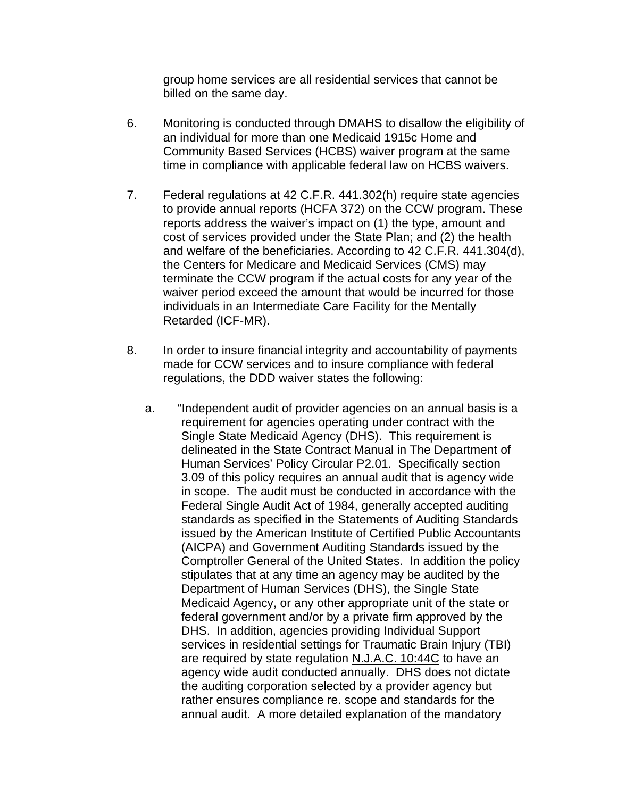group home services are all residential services that cannot be billed on the same day.

- 6. Monitoring is conducted through DMAHS to disallow the eligibility of an individual for more than one Medicaid 1915c Home and Community Based Services (HCBS) waiver program at the same time in compliance with applicable federal law on HCBS waivers.
- 7. Federal regulations at 42 C.F.R. 441.302(h) require state agencies to provide annual reports (HCFA 372) on the CCW program. These reports address the waiver's impact on (1) the type, amount and cost of services provided under the State Plan; and (2) the health and welfare of the beneficiaries. According to 42 C.F.R. 441.304(d), the Centers for Medicare and Medicaid Services (CMS) may terminate the CCW program if the actual costs for any year of the waiver period exceed the amount that would be incurred for those individuals in an Intermediate Care Facility for the Mentally Retarded (ICF-MR).
- 8. In order to insure financial integrity and accountability of payments made for CCW services and to insure compliance with federal regulations, the DDD waiver states the following:
	- a. "Independent audit of provider agencies on an annual basis is a requirement for agencies operating under contract with the Single State Medicaid Agency (DHS). This requirement is delineated in the State Contract Manual in The Department of Human Services' Policy Circular P2.01. Specifically section 3.09 of this policy requires an annual audit that is agency wide in scope. The audit must be conducted in accordance with the Federal Single Audit Act of 1984, generally accepted auditing standards as specified in the Statements of Auditing Standards issued by the American Institute of Certified Public Accountants (AICPA) and Government Auditing Standards issued by the Comptroller General of the United States. In addition the policy stipulates that at any time an agency may be audited by the Department of Human Services (DHS), the Single State Medicaid Agency, or any other appropriate unit of the state or federal government and/or by a private firm approved by the DHS. In addition, agencies providing Individual Support services in residential settings for Traumatic Brain Injury (TBI) are required by state regulation N.J.A.C. 10:44C to have an agency wide audit conducted annually. DHS does not dictate the auditing corporation selected by a provider agency but rather ensures compliance re. scope and standards for the annual audit. A more detailed explanation of the mandatory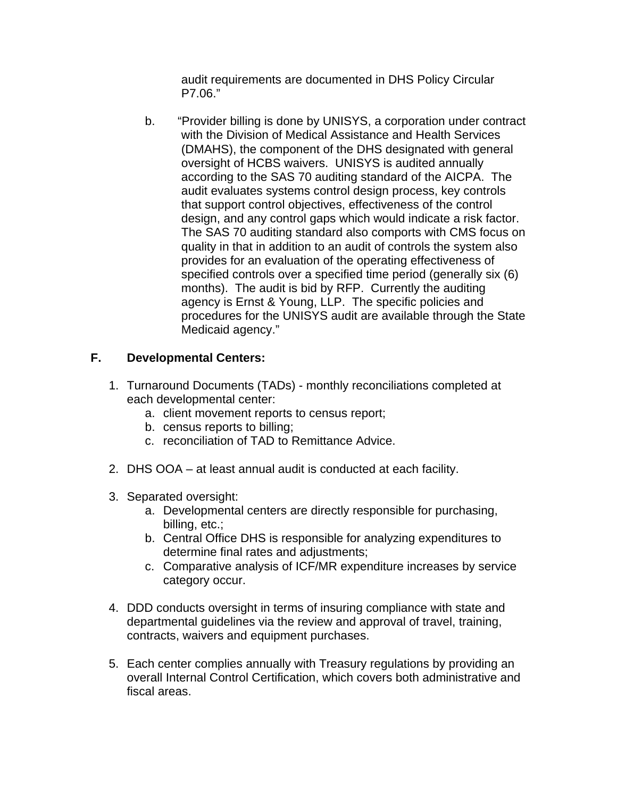audit requirements are documented in DHS Policy Circular P7.06."

b. "Provider billing is done by UNISYS, a corporation under contract with the Division of Medical Assistance and Health Services (DMAHS), the component of the DHS designated with general oversight of HCBS waivers. UNISYS is audited annually according to the SAS 70 auditing standard of the AICPA. The audit evaluates systems control design process, key controls that support control objectives, effectiveness of the control design, and any control gaps which would indicate a risk factor. The SAS 70 auditing standard also comports with CMS focus on quality in that in addition to an audit of controls the system also provides for an evaluation of the operating effectiveness of specified controls over a specified time period (generally six (6) months). The audit is bid by RFP. Currently the auditing agency is Ernst & Young, LLP. The specific policies and procedures for the UNISYS audit are available through the State Medicaid agency."

# **F. Developmental Centers:**

- 1. Turnaround Documents (TADs) monthly reconciliations completed at each developmental center:
	- a. client movement reports to census report;
	- b. census reports to billing;
	- c. reconciliation of TAD to Remittance Advice.
- 2. DHS OOA at least annual audit is conducted at each facility.
- 3. Separated oversight:
	- a. Developmental centers are directly responsible for purchasing, billing, etc.;
	- b. Central Office DHS is responsible for analyzing expenditures to determine final rates and adjustments;
	- c. Comparative analysis of ICF/MR expenditure increases by service category occur.
- 4. DDD conducts oversight in terms of insuring compliance with state and departmental guidelines via the review and approval of travel, training, contracts, waivers and equipment purchases.
- 5. Each center complies annually with Treasury regulations by providing an overall Internal Control Certification, which covers both administrative and fiscal areas.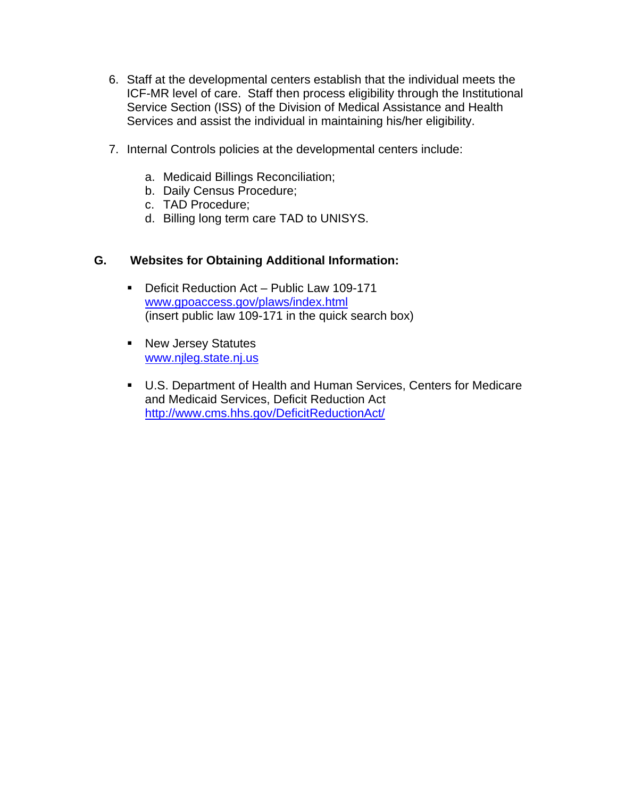- 6. Staff at the developmental centers establish that the individual meets the ICF-MR level of care. Staff then process eligibility through the Institutional Service Section (ISS) of the Division of Medical Assistance and Health Services and assist the individual in maintaining his/her eligibility.
- 7. Internal Controls policies at the developmental centers include:
	- a. Medicaid Billings Reconciliation;
	- b. Daily Census Procedure;
	- c. TAD Procedure;
	- d. Billing long term care TAD to UNISYS.

### **G. Websites for Obtaining Additional Information:**

- **Deficit Reduction Act Public Law 109-171** [www.gpoaccess.gov/plaws/index.html](http://www.gpoaccess.gov/plaws/index.html) (insert public law 109-171 in the quick search box)
- **New Jersey Statutes** [www.njleg.state.nj.us](http://www.njleg.state.nj.us/)
- U.S. Department of Health and Human Services, Centers for Medicare and Medicaid Services, Deficit Reduction Act <http://www.cms.hhs.gov/DeficitReductionAct/>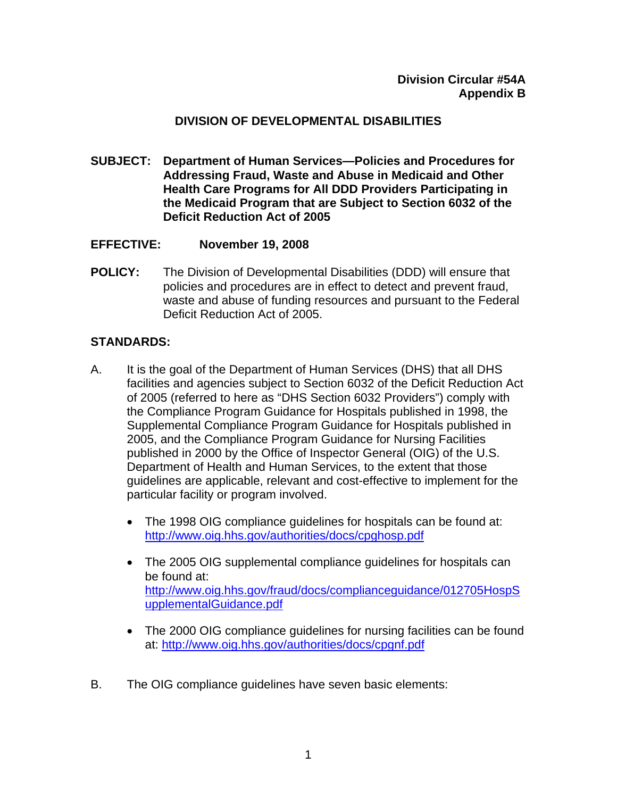### **DIVISION OF DEVELOPMENTAL DISABILITIES**

**SUBJECT: Department of Human Services—Policies and Procedures for Addressing Fraud, Waste and Abuse in Medicaid and Other Health Care Programs for All DDD Providers Participating in the Medicaid Program that are Subject to Section 6032 of the Deficit Reduction Act of 2005** 

#### **EFFECTIVE: November 19, 2008**

**POLICY:** The Division of Developmental Disabilities (DDD) will ensure that policies and procedures are in effect to detect and prevent fraud, waste and abuse of funding resources and pursuant to the Federal Deficit Reduction Act of 2005.

#### **STANDARDS:**

- A. It is the goal of the Department of Human Services (DHS) that all DHS facilities and agencies subject to Section 6032 of the Deficit Reduction Act of 2005 (referred to here as "DHS Section 6032 Providers") comply with the Compliance Program Guidance for Hospitals published in 1998, the Supplemental Compliance Program Guidance for Hospitals published in 2005, and the Compliance Program Guidance for Nursing Facilities published in 2000 by the Office of Inspector General (OIG) of the U.S. Department of Health and Human Services, to the extent that those guidelines are applicable, relevant and cost-effective to implement for the particular facility or program involved.
	- The 1998 OIG compliance quidelines for hospitals can be found at: <http://www.oig.hhs.gov/authorities/docs/cpghosp.pdf>
	- The 2005 OIG supplemental compliance guidelines for hospitals can be found at: [http://www.oig.hhs.gov/fraud/docs/complianceguidance/012705HospS](http://www.oig.hhs.gov/fraud/docs/complianceguidance/012705HospSupplementalGuidance.pdf) [upplementalGuidance.pdf](http://www.oig.hhs.gov/fraud/docs/complianceguidance/012705HospSupplementalGuidance.pdf)
	- The 2000 OIG compliance guidelines for nursing facilities can be found at: <http://www.oig.hhs.gov/authorities/docs/cpgnf.pdf>
- B. The OIG compliance guidelines have seven basic elements: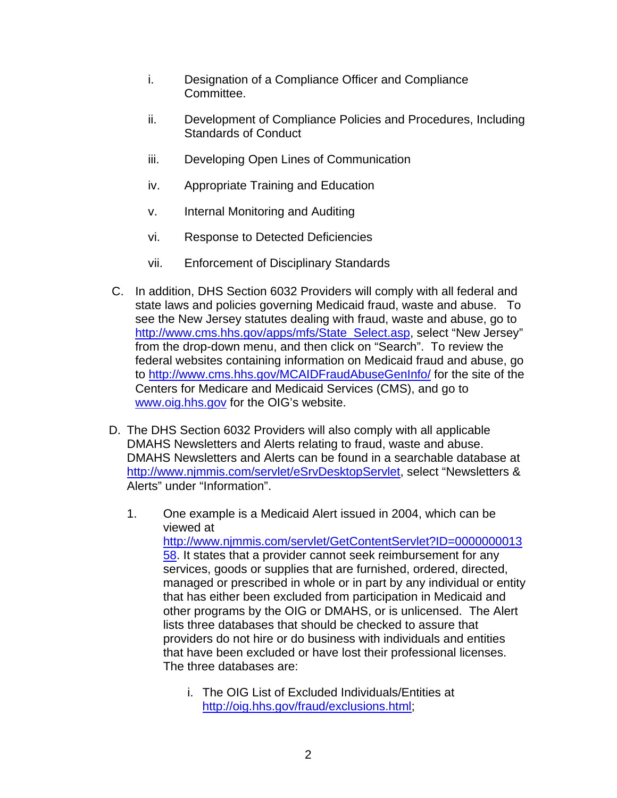- i. Designation of a Compliance Officer and Compliance Committee.
- ii. Development of Compliance Policies and Procedures, Including Standards of Conduct
- iii. Developing Open Lines of Communication
- iv. Appropriate Training and Education
- v. Internal Monitoring and Auditing
- vi. Response to Detected Deficiencies
- vii. Enforcement of Disciplinary Standards
- C. In addition, DHS Section 6032 Providers will comply with all federal and state laws and policies governing Medicaid fraud, waste and abuse. To see the New Jersey statutes dealing with fraud, waste and abuse, go to http://www.cms.hhs.gov/apps/mfs/State Select.asp, select "New Jersey" from the drop-down menu, and then click on "Search". To review the federal websites containing information on Medicaid fraud and abuse, go to <http://www.cms.hhs.gov/MCAIDFraudAbuseGenInfo/>for the site of the Centers for Medicare and Medicaid Services (CMS), and go to [www.oig.hhs.gov](http://www.oig.hhs.gov/) for the OIG's website.
- D. The DHS Section 6032 Providers will also comply with all applicable DMAHS Newsletters and Alerts relating to fraud, waste and abuse. DMAHS Newsletters and Alerts can be found in a searchable database at <http://www.njmmis.com/servlet/eSrvDesktopServlet>, select "Newsletters & Alerts" under "Information".
	- 1. One example is a Medicaid Alert issued in 2004, which can be viewed at [http://www.njmmis.com/servlet/GetContentServlet?ID=0000000013](http://www.njmmis.com/servlet/GetContentServlet?ID=000000001358) [58](http://www.njmmis.com/servlet/GetContentServlet?ID=000000001358). It states that a provider cannot seek reimbursement for any services, goods or supplies that are furnished, ordered, directed, managed or prescribed in whole or in part by any individual or entity that has either been excluded from participation in Medicaid and other programs by the OIG or DMAHS, or is unlicensed. The Alert lists three databases that should be checked to assure that providers do not hire or do business with individuals and entities that have been excluded or have lost their professional licenses. The three databases are:
		- i. The OIG List of Excluded Individuals/Entities at <http://oig.hhs.gov/fraud/exclusions.html>;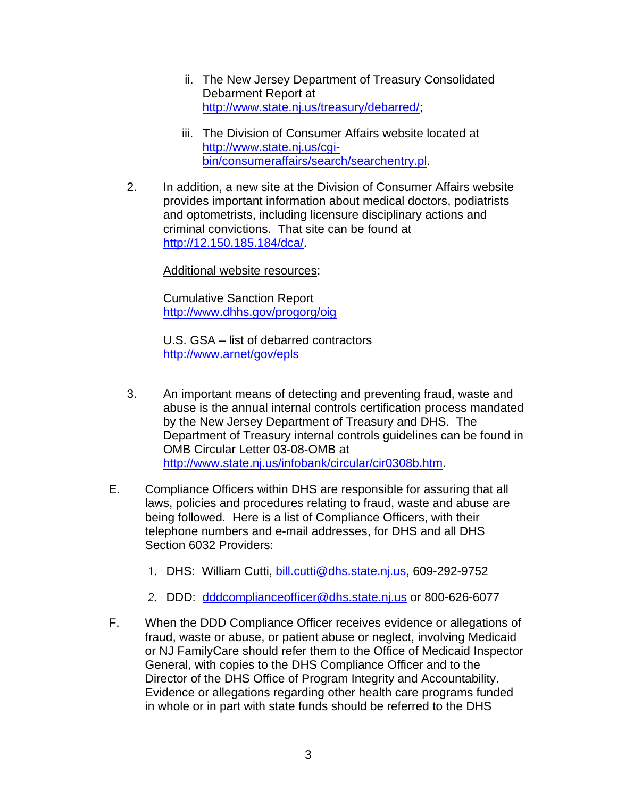- ii. The New Jersey Department of Treasury Consolidated Debarment Report at <http://www.state.nj.us/treasury/debarred/>;
- iii. The Division of Consumer Affairs website located at [http://www.state.nj.us/cgi](http://www.state.nj.us/cgi-bin/consumeraffairs/search/searchentry.pl)[bin/consumeraffairs/search/searchentry.pl.](http://www.state.nj.us/cgi-bin/consumeraffairs/search/searchentry.pl)
- 2. In addition, a new site at the Division of Consumer Affairs website provides important information about medical doctors, podiatrists and optometrists, including licensure disciplinary actions and criminal convictions. That site can be found at <http://12.150.185.184/dca/>.

Additional website resources:

Cumulative Sanction Report <http://www.dhhs.gov/progorg/oig>

U.S. GSA – list of debarred contractors <http://www.arnet/gov/epls>

- 3. An important means of detecting and preventing fraud, waste and abuse is the annual internal controls certification process mandated by the New Jersey Department of Treasury and DHS. The Department of Treasury internal controls guidelines can be found in OMB Circular Letter 03-08-OMB at <http://www.state.nj.us/infobank/circular/cir0308b.htm>.
- E. Compliance Officers within DHS are responsible for assuring that all laws, policies and procedures relating to fraud, waste and abuse are being followed. Here is a list of Compliance Officers, with their telephone numbers and e-mail addresses, for DHS and all DHS Section 6032 Providers:
	- 1. DHS: William Cutti, [bill.cutti@dhs.state.nj.us](mailto:bill.cutti@dhs.state.nj.us), 609-292-9752
	- *2.* DDD: [dddcomplianceofficer@dhs.state.nj.us](mailto:dddcomplianceofficer@dhs.state.nj.us) or 800-626-6077
- F. When the DDD Compliance Officer receives evidence or allegations of fraud, waste or abuse, or patient abuse or neglect, involving Medicaid or NJ FamilyCare should refer them to the Office of Medicaid Inspector General, with copies to the DHS Compliance Officer and to the Director of the DHS Office of Program Integrity and Accountability. Evidence or allegations regarding other health care programs funded in whole or in part with state funds should be referred to the DHS